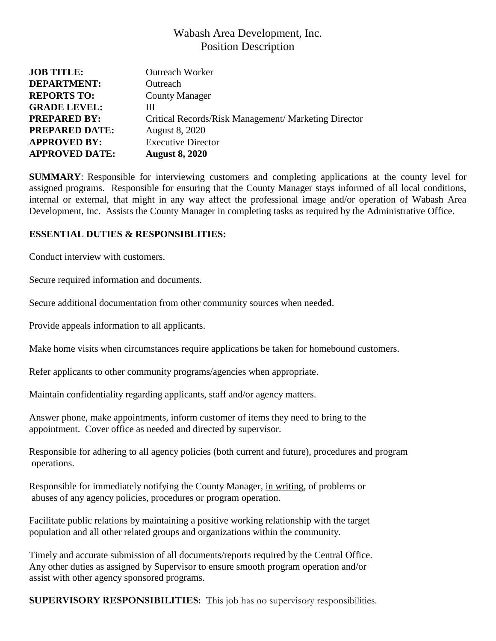## Wabash Area Development, Inc. Position Description

| <b>JOB TITLE:</b>     | <b>Outreach Worker</b>                               |
|-----------------------|------------------------------------------------------|
| <b>DEPARTMENT:</b>    | Outreach                                             |
| <b>REPORTS TO:</b>    | <b>County Manager</b>                                |
| <b>GRADE LEVEL:</b>   | Ш                                                    |
| <b>PREPARED BY:</b>   | Critical Records/Risk Management/ Marketing Director |
| <b>PREPARED DATE:</b> | <b>August 8, 2020</b>                                |
| <b>APPROVED BY:</b>   | <b>Executive Director</b>                            |
| <b>APPROVED DATE:</b> | <b>August 8, 2020</b>                                |

**SUMMARY**: Responsible for interviewing customers and completing applications at the county level for assigned programs. Responsible for ensuring that the County Manager stays informed of all local conditions, internal or external, that might in any way affect the professional image and/or operation of Wabash Area Development, Inc. Assists the County Manager in completing tasks as required by the Administrative Office.

## **ESSENTIAL DUTIES & RESPONSIBLITIES:**

Conduct interview with customers.

Secure required information and documents.

Secure additional documentation from other community sources when needed.

Provide appeals information to all applicants.

Make home visits when circumstances require applications be taken for homebound customers.

Refer applicants to other community programs/agencies when appropriate.

Maintain confidentiality regarding applicants, staff and/or agency matters.

Answer phone, make appointments, inform customer of items they need to bring to the appointment. Cover office as needed and directed by supervisor.

Responsible for adhering to all agency policies (both current and future), procedures and program operations.

Responsible for immediately notifying the County Manager, in writing, of problems or abuses of any agency policies, procedures or program operation.

Facilitate public relations by maintaining a positive working relationship with the target population and all other related groups and organizations within the community.

Timely and accurate submission of all documents/reports required by the Central Office. Any other duties as assigned by Supervisor to ensure smooth program operation and/or assist with other agency sponsored programs.

**SUPERVISORY RESPONSIBILITIES:** This job has no supervisory responsibilities.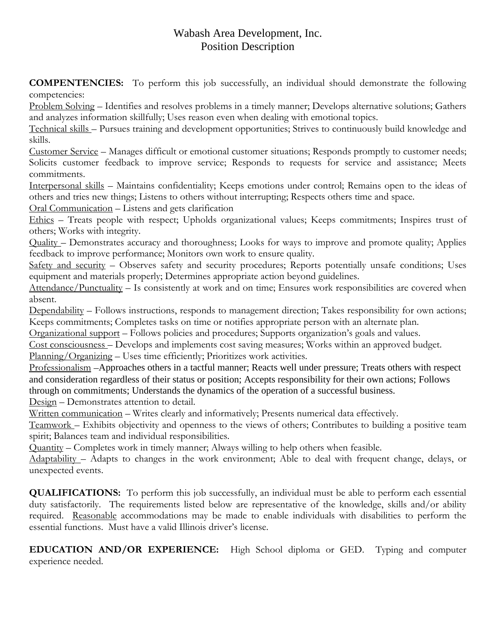## Wabash Area Development, Inc. Position Description

**COMPENTENCIES:** To perform this job successfully, an individual should demonstrate the following competencies:

Problem Solving – Identifies and resolves problems in a timely manner; Develops alternative solutions; Gathers and analyzes information skillfully; Uses reason even when dealing with emotional topics.

Technical skills – Pursues training and development opportunities; Strives to continuously build knowledge and skills.

Customer Service – Manages difficult or emotional customer situations; Responds promptly to customer needs; Solicits customer feedback to improve service; Responds to requests for service and assistance; Meets commitments.

Interpersonal skills – Maintains confidentiality; Keeps emotions under control; Remains open to the ideas of others and tries new things; Listens to others without interrupting; Respects others time and space.

Oral Communication – Listens and gets clarification

Ethics – Treats people with respect; Upholds organizational values; Keeps commitments; Inspires trust of others; Works with integrity.

Quality – Demonstrates accuracy and thoroughness; Looks for ways to improve and promote quality; Applies feedback to improve performance; Monitors own work to ensure quality.

Safety and security – Observes safety and security procedures; Reports potentially unsafe conditions; Uses equipment and materials properly; Determines appropriate action beyond guidelines.

Attendance/Punctuality – Is consistently at work and on time; Ensures work responsibilities are covered when absent.

Dependability – Follows instructions, responds to management direction; Takes responsibility for own actions; Keeps commitments; Completes tasks on time or notifies appropriate person with an alternate plan.

Organizational support – Follows policies and procedures; Supports organization's goals and values.

Cost consciousness – Develops and implements cost saving measures; Works within an approved budget.

Planning/Organizing – Uses time efficiently; Prioritizes work activities.

Professionalism –Approaches others in a tactful manner; Reacts well under pressure; Treats others with respect and consideration regardless of their status or position; Accepts responsibility for their own actions; Follows through on commitments; Understands the dynamics of the operation of a successful business. Design – Demonstrates attention to detail.

Written communication – Writes clearly and informatively; Presents numerical data effectively.

Teamwork – Exhibits objectivity and openness to the views of others; Contributes to building a positive team spirit; Balances team and individual responsibilities.

Quantity – Completes work in timely manner; Always willing to help others when feasible.

Adaptability – Adapts to changes in the work environment; Able to deal with frequent change, delays, or unexpected events.

**QUALIFICATIONS:** To perform this job successfully, an individual must be able to perform each essential duty satisfactorily. The requirements listed below are representative of the knowledge, skills and/or ability required. Reasonable accommodations may be made to enable individuals with disabilities to perform the essential functions. Must have a valid Illinois driver's license.

**EDUCATION AND/OR EXPERIENCE:** High School diploma or GED. Typing and computer experience needed.